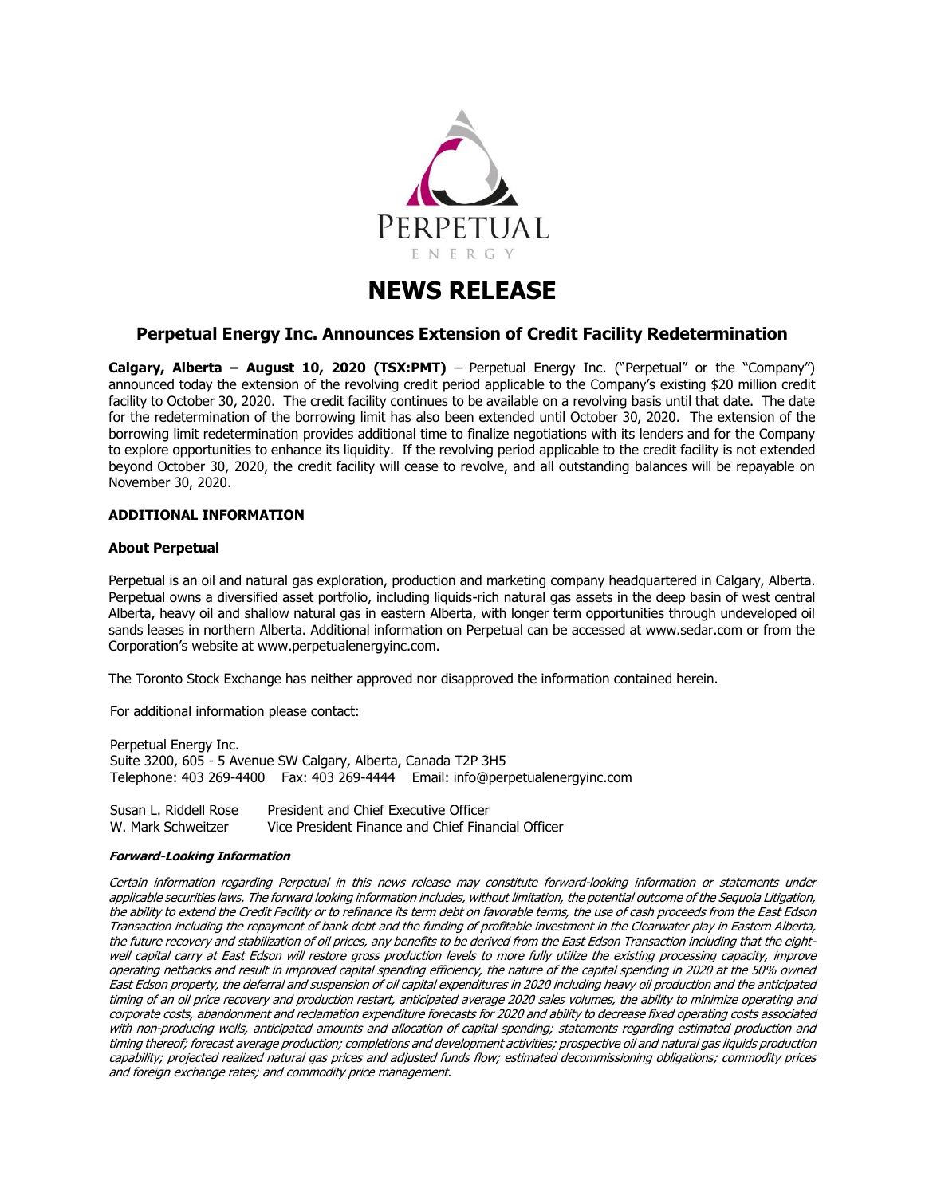

# **NEWS RELEASE**

## **Perpetual Energy Inc. Announces Extension of Credit Facility Redetermination**

**Calgary, Alberta – August 10, 2020 (TSX:PMT)** – Perpetual Energy Inc. ("Perpetual" or the "Company") announced today the extension of the revolving credit period applicable to the Company's existing \$20 million credit facility to October 30, 2020. The credit facility continues to be available on a revolving basis until that date. The date for the redetermination of the borrowing limit has also been extended until October 30, 2020. The extension of the borrowing limit redetermination provides additional time to finalize negotiations with its lenders and for the Company to explore opportunities to enhance its liquidity. If the revolving period applicable to the credit facility is not extended beyond October 30, 2020, the credit facility will cease to revolve, and all outstanding balances will be repayable on November 30, 2020.

### **ADDITIONAL INFORMATION**

#### **About Perpetual**

Perpetual is an oil and natural gas exploration, production and marketing company headquartered in Calgary, Alberta. Perpetual owns a diversified asset portfolio, including liquids-rich natural gas assets in the deep basin of west central Alberta, heavy oil and shallow natural gas in eastern Alberta, with longer term opportunities through undeveloped oil sands leases in northern Alberta. Additional information on Perpetual can be accessed at www.sedar.com or from the Corporation's website at www.perpetualenergyinc.com.

The Toronto Stock Exchange has neither approved nor disapproved the information contained herein.

For additional information please contact:

Perpetual Energy Inc. Suite 3200, 605 - 5 Avenue SW Calgary, Alberta, Canada T2P 3H5 Telephone: 403 269-4400 Fax: 403 269-4444 Email: info@perpetualenergyinc.com

Susan L. Riddell Rose W. Mark Schweitzer President and Chief Executive Officer Vice President Finance and Chief Financial Officer

#### **Forward-Looking Information**

Certain information regarding Perpetual in this news release may constitute forward-looking information or statements under applicable securities laws. The forward looking information includes, without limitation, the potential outcome of the Sequoia Litigation, the ability to extend the Credit Facility or to refinance its term debt on favorable terms, the use of cash proceeds from the East Edson Transaction including the repayment of bank debt and the funding of profitable investment in the Clearwater play in Eastern Alberta, the future recovery and stabilization of oil prices, any benefits to be derived from the East Edson Transaction including that the eightwell capital carry at East Edson will restore gross production levels to more fully utilize the existing processing capacity, improve operating netbacks and result in improved capital spending efficiency, the nature of the capital spending in 2020 at the 50% owned East Edson property, the deferral and suspension of oil capital expenditures in 2020 including heavy oil production and the anticipated timing of an oil price recovery and production restart, anticipated average 2020 sales volumes, the ability to minimize operating and corporate costs, abandonment and reclamation expenditure forecasts for 2020 and ability to decrease fixed operating costs associated with non-producing wells, anticipated amounts and allocation of capital spending; statements regarding estimated production and timing thereof; forecast average production; completions and development activities; prospective oil and natural gas liquids production capability; projected realized natural gas prices and adjusted funds flow; estimated decommissioning obligations; commodity prices and foreign exchange rates; and commodity price management.